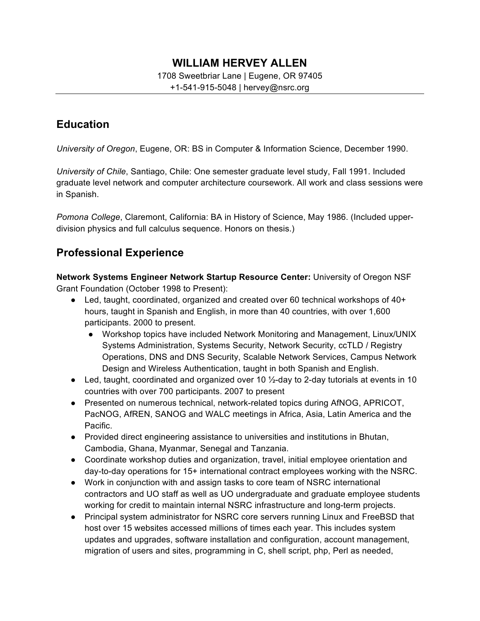## **WILLIAM HERVEY ALLEN**

#### 1708 Sweetbriar Lane | Eugene, OR 97405

+1-541-915-5048 | hervey@nsrc.org

## **Education**

*University of Oregon*, Eugene, OR: BS in Computer & Information Science, December 1990.

*University of Chile*, Santiago, Chile: One semester graduate level study, Fall 1991. Included graduate level network and computer architecture coursework. All work and class sessions were in Spanish.

*Pomona College*, Claremont, California: BA in History of Science, May 1986. (Included upperdivision physics and full calculus sequence. Honors on thesis.)

## **Professional Experience**

**Network Systems Engineer Network Startup Resource Center:** University of Oregon NSF Grant Foundation (October 1998 to Present):

- Led, taught, coordinated, organized and created over 60 technical workshops of 40+ hours, taught in Spanish and English, in more than 40 countries, with over 1,600 participants. 2000 to present.
	- Workshop topics have included Network Monitoring and Management, Linux/UNIX Systems Administration, Systems Security, Network Security, ccTLD / Registry Operations, DNS and DNS Security, Scalable Network Services, Campus Network Design and Wireless Authentication, taught in both Spanish and English.
- Led, taught, coordinated and organized over 10  $\frac{1}{2}$ -day to 2-day tutorials at events in 10 countries with over 700 participants. 2007 to present
- Presented on numerous technical, network-related topics during AfNOG, APRICOT, PacNOG, AfREN, SANOG and WALC meetings in Africa, Asia, Latin America and the Pacific.
- Provided direct engineering assistance to universities and institutions in Bhutan, Cambodia, Ghana, Myanmar, Senegal and Tanzania.
- Coordinate workshop duties and organization, travel, initial employee orientation and day-to-day operations for 15+ international contract employees working with the NSRC.
- Work in conjunction with and assign tasks to core team of NSRC international contractors and UO staff as well as UO undergraduate and graduate employee students working for credit to maintain internal NSRC infrastructure and long-term projects.
- Principal system administrator for NSRC core servers running Linux and FreeBSD that host over 15 websites accessed millions of times each year. This includes system updates and upgrades, software installation and configuration, account management, migration of users and sites, programming in C, shell script, php, Perl as needed,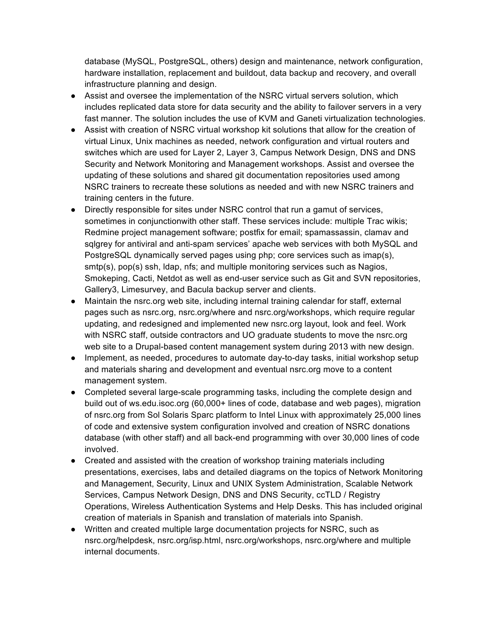database (MySQL, PostgreSQL, others) design and maintenance, network configuration, hardware installation, replacement and buildout, data backup and recovery, and overall infrastructure planning and design.

- Assist and oversee the implementation of the NSRC virtual servers solution, which includes replicated data store for data security and the ability to failover servers in a very fast manner. The solution includes the use of KVM and Ganeti virtualization technologies.
- Assist with creation of NSRC virtual workshop kit solutions that allow for the creation of virtual Linux, Unix machines as needed, network configuration and virtual routers and switches which are used for Layer 2, Layer 3, Campus Network Design, DNS and DNS Security and Network Monitoring and Management workshops. Assist and oversee the updating of these solutions and shared git documentation repositories used among NSRC trainers to recreate these solutions as needed and with new NSRC trainers and training centers in the future.
- Directly responsible for sites under NSRC control that run a gamut of services, sometimes in conjunctionwith other staff. These services include: multiple Trac wikis; Redmine project management software; postfix for email; spamassassin, clamav and sqlgrey for antiviral and anti-spam services' apache web services with both MySQL and PostgreSQL dynamically served pages using php; core services such as imap(s), smtp(s), pop(s) ssh, ldap, nfs; and multiple monitoring services such as Nagios, Smokeping, Cacti, Netdot as well as end-user service such as Git and SVN repositories, Gallery3, Limesurvey, and Bacula backup server and clients.
- Maintain the nsrc.org web site, including internal training calendar for staff, external pages such as nsrc.org, nsrc.org/where and nsrc.org/workshops, which require regular updating, and redesigned and implemented new nsrc.org layout, look and feel. Work with NSRC staff, outside contractors and UO graduate students to move the nsrc.org web site to a Drupal-based content management system during 2013 with new design.
- Implement, as needed, procedures to automate day-to-day tasks, initial workshop setup and materials sharing and development and eventual nsrc.org move to a content management system.
- Completed several large-scale programming tasks, including the complete design and build out of ws.edu.isoc.org (60,000+ lines of code, database and web pages), migration of nsrc.org from Sol Solaris Sparc platform to Intel Linux with approximately 25,000 lines of code and extensive system configuration involved and creation of NSRC donations database (with other staff) and all back-end programming with over 30,000 lines of code involved.
- Created and assisted with the creation of workshop training materials including presentations, exercises, labs and detailed diagrams on the topics of Network Monitoring and Management, Security, Linux and UNIX System Administration, Scalable Network Services, Campus Network Design, DNS and DNS Security, ccTLD / Registry Operations, Wireless Authentication Systems and Help Desks. This has included original creation of materials in Spanish and translation of materials into Spanish.
- Written and created multiple large documentation projects for NSRC, such as nsrc.org/helpdesk, nsrc.org/isp.html, nsrc.org/workshops, nsrc.org/where and multiple internal documents.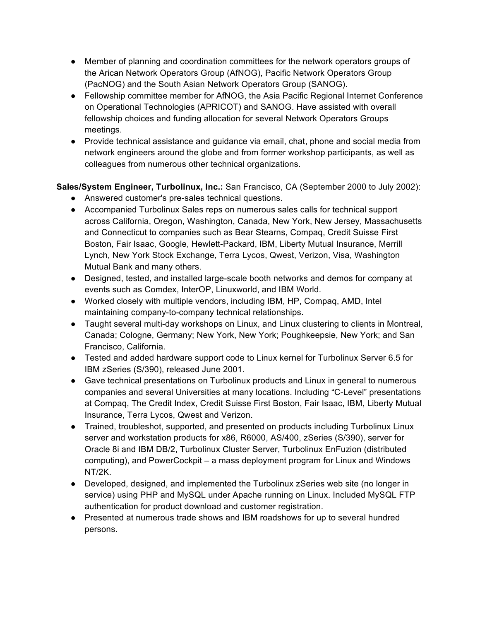- Member of planning and coordination committees for the network operators groups of the Arican Network Operators Group (AfNOG), Pacific Network Operators Group (PacNOG) and the South Asian Network Operators Group (SANOG).
- Fellowship committee member for AfNOG, the Asia Pacific Regional Internet Conference on Operational Technologies (APRICOT) and SANOG. Have assisted with overall fellowship choices and funding allocation for several Network Operators Groups meetings.
- Provide technical assistance and guidance via email, chat, phone and social media from network engineers around the globe and from former workshop participants, as well as colleagues from numerous other technical organizations.

### **Sales/System Engineer, Turbolinux, Inc.:** San Francisco, CA (September 2000 to July 2002):

- Answered customer's pre-sales technical questions.
- Accompanied Turbolinux Sales reps on numerous sales calls for technical support across California, Oregon, Washington, Canada, New York, New Jersey, Massachusetts and Connecticut to companies such as Bear Stearns, Compaq, Credit Suisse First Boston, Fair Isaac, Google, Hewlett-Packard, IBM, Liberty Mutual Insurance, Merrill Lynch, New York Stock Exchange, Terra Lycos, Qwest, Verizon, Visa, Washington Mutual Bank and many others.
- Designed, tested, and installed large-scale booth networks and demos for company at events such as Comdex, InterOP, Linuxworld, and IBM World.
- Worked closely with multiple vendors, including IBM, HP, Compaq, AMD, Intel maintaining company-to-company technical relationships.
- Taught several multi-day workshops on Linux, and Linux clustering to clients in Montreal, Canada; Cologne, Germany; New York, New York; Poughkeepsie, New York; and San Francisco, California.
- Tested and added hardware support code to Linux kernel for Turbolinux Server 6.5 for IBM zSeries (S/390), released June 2001.
- Gave technical presentations on Turbolinux products and Linux in general to numerous companies and several Universities at many locations. Including "C-Level" presentations at Compaq, The Credit Index, Credit Suisse First Boston, Fair Isaac, IBM, Liberty Mutual Insurance, Terra Lycos, Qwest and Verizon.
- Trained, troubleshot, supported, and presented on products including Turbolinux Linux server and workstation products for x86, R6000, AS/400, zSeries (S/390), server for Oracle 8i and IBM DB/2, Turbolinux Cluster Server, Turbolinux EnFuzion (distributed computing), and PowerCockpit – a mass deployment program for Linux and Windows NT/2K.
- Developed, designed, and implemented the Turbolinux zSeries web site (no longer in service) using PHP and MySQL under Apache running on Linux. Included MySQL FTP authentication for product download and customer registration.
- Presented at numerous trade shows and IBM roadshows for up to several hundred persons.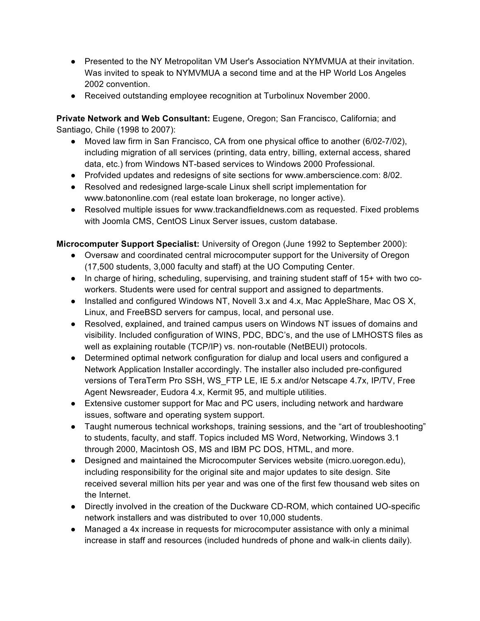- Presented to the NY Metropolitan VM User's Association NYMVMUA at their invitation. Was invited to speak to NYMVMUA a second time and at the HP World Los Angeles 2002 convention.
- Received outstanding employee recognition at Turbolinux November 2000.

**Private Network and Web Consultant:** Eugene, Oregon; San Francisco, California; and Santiago, Chile (1998 to 2007):

- Moved law firm in San Francisco, CA from one physical office to another (6/02-7/02), including migration of all services (printing, data entry, billing, external access, shared data, etc.) from Windows NT-based services to Windows 2000 Professional.
- Profvided updates and redesigns of site sections for www.amberscience.com: 8/02.
- Resolved and redesigned large-scale Linux shell script implementation for www.batononline.com (real estate loan brokerage, no longer active).
- Resolved multiple issues for www.trackandfieldnews.com as requested. Fixed problems with Joomla CMS, CentOS Linux Server issues, custom database.

**Microcomputer Support Specialist:** University of Oregon (June 1992 to September 2000):

- Oversaw and coordinated central microcomputer support for the University of Oregon (17,500 students, 3,000 faculty and staff) at the UO Computing Center.
- In charge of hiring, scheduling, supervising, and training student staff of 15+ with two coworkers. Students were used for central support and assigned to departments.
- Installed and configured Windows NT, Novell 3.x and 4.x, Mac AppleShare, Mac OS X, Linux, and FreeBSD servers for campus, local, and personal use.
- Resolved, explained, and trained campus users on Windows NT issues of domains and visibility. Included configuration of WINS, PDC, BDC's, and the use of LMHOSTS files as well as explaining routable (TCP/IP) vs. non-routable (NetBEUI) protocols.
- Determined optimal network configuration for dialup and local users and configured a Network Application Installer accordingly. The installer also included pre-configured versions of TeraTerm Pro SSH, WS\_FTP LE, IE 5.x and/or Netscape 4.7x, IP/TV, Free Agent Newsreader, Eudora 4.x, Kermit 95, and multiple utilities.
- Extensive customer support for Mac and PC users, including network and hardware issues, software and operating system support.
- Taught numerous technical workshops, training sessions, and the "art of troubleshooting" to students, faculty, and staff. Topics included MS Word, Networking, Windows 3.1 through 2000, Macintosh OS, MS and IBM PC DOS, HTML, and more.
- Designed and maintained the Microcomputer Services website (micro.uoregon.edu), including responsibility for the original site and major updates to site design. Site received several million hits per year and was one of the first few thousand web sites on the Internet.
- Directly involved in the creation of the Duckware CD-ROM, which contained UO-specific network installers and was distributed to over 10,000 students.
- Managed a 4x increase in requests for microcomputer assistance with only a minimal increase in staff and resources (included hundreds of phone and walk-in clients daily).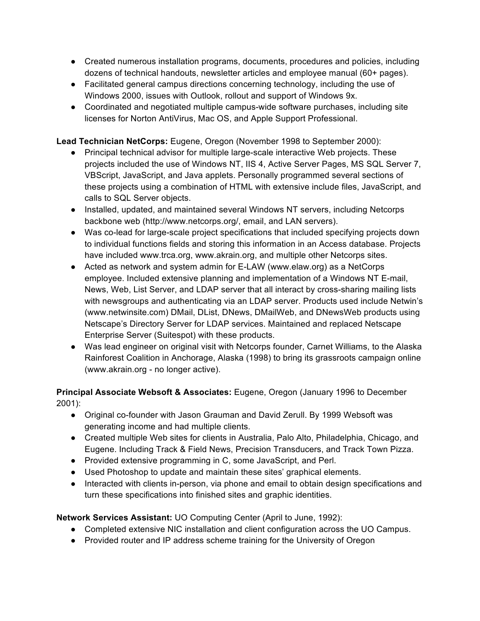- Created numerous installation programs, documents, procedures and policies, including dozens of technical handouts, newsletter articles and employee manual (60+ pages).
- Facilitated general campus directions concerning technology, including the use of Windows 2000, issues with Outlook, rollout and support of Windows 9x.
- Coordinated and negotiated multiple campus-wide software purchases, including site licenses for Norton AntiVirus, Mac OS, and Apple Support Professional.

**Lead Technician NetCorps:** Eugene, Oregon (November 1998 to September 2000):

- Principal technical advisor for multiple large-scale interactive Web projects. These projects included the use of Windows NT, IIS 4, Active Server Pages, MS SQL Server 7, VBScript, JavaScript, and Java applets. Personally programmed several sections of these projects using a combination of HTML with extensive include files, JavaScript, and calls to SQL Server objects.
- Installed, updated, and maintained several Windows NT servers, including Netcorps backbone web (http://www.netcorps.org/, email, and LAN servers).
- Was co-lead for large-scale project specifications that included specifying projects down to individual functions fields and storing this information in an Access database. Projects have included www.trca.org, www.akrain.org, and multiple other Netcorps sites.
- Acted as network and system admin for E-LAW (www.elaw.org) as a NetCorps employee. Included extensive planning and implementation of a Windows NT E-mail, News, Web, List Server, and LDAP server that all interact by cross-sharing mailing lists with newsgroups and authenticating via an LDAP server. Products used include Netwin's (www.netwinsite.com) DMail, DList, DNews, DMailWeb, and DNewsWeb products using Netscape's Directory Server for LDAP services. Maintained and replaced Netscape Enterprise Server (Suitespot) with these products.
- Was lead engineer on original visit with Netcorps founder, Carnet Williams, to the Alaska Rainforest Coalition in Anchorage, Alaska (1998) to bring its grassroots campaign online (www.akrain.org - no longer active).

#### **Principal Associate Websoft & Associates:** Eugene, Oregon (January 1996 to December 2001):

- Original co-founder with Jason Grauman and David Zerull. By 1999 Websoft was generating income and had multiple clients.
- Created multiple Web sites for clients in Australia, Palo Alto, Philadelphia, Chicago, and Eugene. Including Track & Field News, Precision Transducers, and Track Town Pizza.
- Provided extensive programming in C, some JavaScript, and Perl.
- Used Photoshop to update and maintain these sites' graphical elements.
- Interacted with clients in-person, via phone and email to obtain design specifications and turn these specifications into finished sites and graphic identities.

#### **Network Services Assistant:** UO Computing Center (April to June, 1992):

- Completed extensive NIC installation and client configuration across the UO Campus.
- Provided router and IP address scheme training for the University of Oregon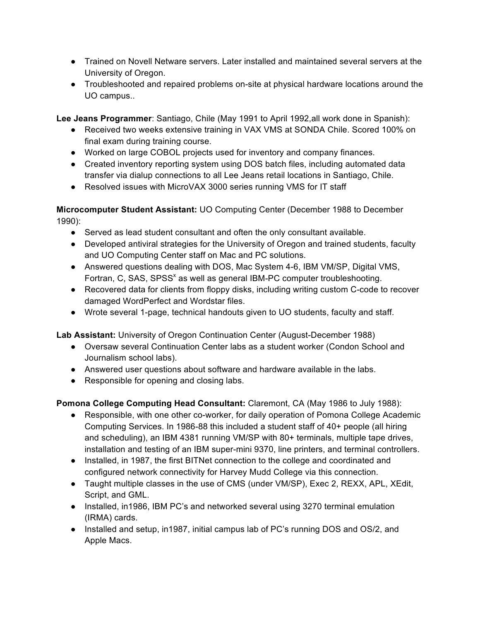- Trained on Novell Netware servers. Later installed and maintained several servers at the University of Oregon.
- Troubleshooted and repaired problems on-site at physical hardware locations around the UO campus..

**Lee Jeans Programmer**: Santiago, Chile (May 1991 to April 1992,all work done in Spanish):

- Received two weeks extensive training in VAX VMS at SONDA Chile. Scored 100% on final exam during training course.
- Worked on large COBOL projects used for inventory and company finances.
- Created inventory reporting system using DOS batch files, including automated data transfer via dialup connections to all Lee Jeans retail locations in Santiago, Chile.
- Resolved issues with MicroVAX 3000 series running VMS for IT staff

**Microcomputer Student Assistant:** UO Computing Center (December 1988 to December 1990):

- Served as lead student consultant and often the only consultant available.
- Developed antiviral strategies for the University of Oregon and trained students, faculty and UO Computing Center staff on Mac and PC solutions.
- Answered questions dealing with DOS, Mac System 4-6, IBM VM/SP, Digital VMS, Fortran, C, SAS, SPSS<sup>x</sup> as well as general IBM-PC computer troubleshooting.
- Recovered data for clients from floppy disks, including writing custom C-code to recover damaged WordPerfect and Wordstar files.
- Wrote several 1-page, technical handouts given to UO students, faculty and staff.

**Lab Assistant:** University of Oregon Continuation Center (August-December 1988)

- Oversaw several Continuation Center labs as a student worker (Condon School and Journalism school labs).
- Answered user questions about software and hardware available in the labs.
- Responsible for opening and closing labs.

**Pomona College Computing Head Consultant: Claremont, CA (May 1986 to July 1988):** 

- Responsible, with one other co-worker, for daily operation of Pomona College Academic Computing Services. In 1986-88 this included a student staff of 40+ people (all hiring and scheduling), an IBM 4381 running VM/SP with 80+ terminals, multiple tape drives, installation and testing of an IBM super-mini 9370, line printers, and terminal controllers.
- Installed, in 1987, the first BITNet connection to the college and coordinated and configured network connectivity for Harvey Mudd College via this connection.
- Taught multiple classes in the use of CMS (under VM/SP), Exec 2, REXX, APL, XEdit, Script, and GML.
- Installed, in1986, IBM PC's and networked several using 3270 terminal emulation (IRMA) cards.
- Installed and setup, in 1987, initial campus lab of PC's running DOS and OS/2, and Apple Macs.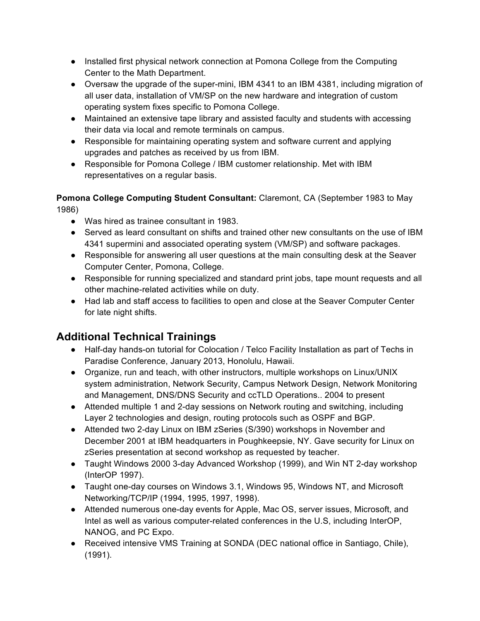- Installed first physical network connection at Pomona College from the Computing Center to the Math Department.
- Oversaw the upgrade of the super-mini, IBM 4341 to an IBM 4381, including migration of all user data, installation of VM/SP on the new hardware and integration of custom operating system fixes specific to Pomona College.
- Maintained an extensive tape library and assisted faculty and students with accessing their data via local and remote terminals on campus.
- Responsible for maintaining operating system and software current and applying upgrades and patches as received by us from IBM.
- Responsible for Pomona College / IBM customer relationship. Met with IBM representatives on a regular basis.

#### **Pomona College Computing Student Consultant:** Claremont, CA (September 1983 to May 1986)

- Was hired as trainee consultant in 1983.
- Served as leard consultant on shifts and trained other new consultants on the use of IBM 4341 supermini and associated operating system (VM/SP) and software packages.
- Responsible for answering all user questions at the main consulting desk at the Seaver Computer Center, Pomona, College.
- Responsible for running specialized and standard print jobs, tape mount requests and all other machine-related activities while on duty.
- Had lab and staff access to facilities to open and close at the Seaver Computer Center for late night shifts.

# **Additional Technical Trainings**

- Half-day hands-on tutorial for Colocation / Telco Facility Installation as part of Techs in Paradise Conference, January 2013, Honolulu, Hawaii.
- Organize, run and teach, with other instructors, multiple workshops on Linux/UNIX system administration, Network Security, Campus Network Design, Network Monitoring and Management, DNS/DNS Security and ccTLD Operations.. 2004 to present
- Attended multiple 1 and 2-day sessions on Network routing and switching, including Layer 2 technologies and design, routing protocols such as OSPF and BGP.
- Attended two 2-day Linux on IBM zSeries (S/390) workshops in November and December 2001 at IBM headquarters in Poughkeepsie, NY. Gave security for Linux on zSeries presentation at second workshop as requested by teacher.
- Taught Windows 2000 3-day Advanced Workshop (1999), and Win NT 2-day workshop (InterOP 1997).
- Taught one-day courses on Windows 3.1, Windows 95, Windows NT, and Microsoft Networking/TCP/IP (1994, 1995, 1997, 1998).
- Attended numerous one-day events for Apple, Mac OS, server issues, Microsoft, and Intel as well as various computer-related conferences in the U.S, including InterOP, NANOG, and PC Expo.
- Received intensive VMS Training at SONDA (DEC national office in Santiago, Chile), (1991).